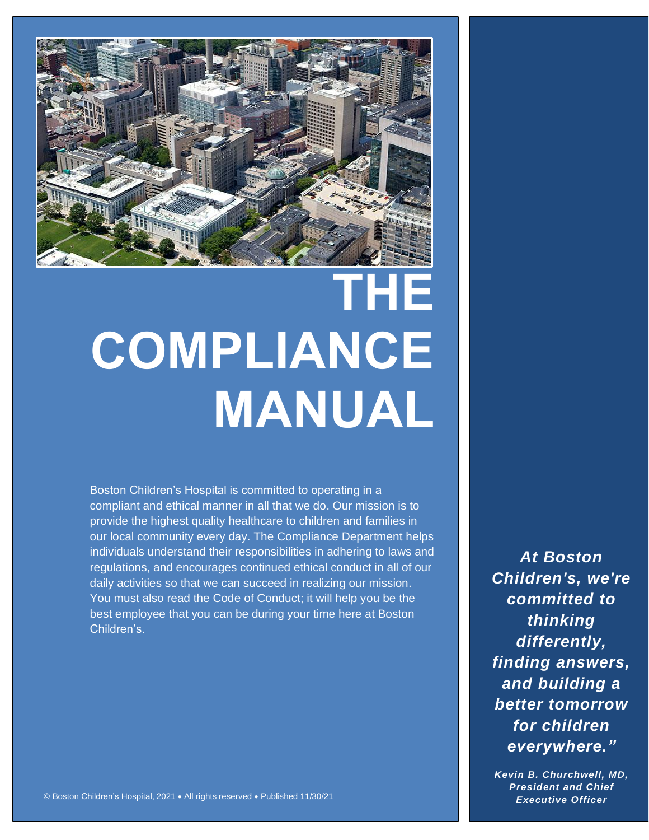

# **THE COMPLIANCE MANUAL**

Boston Children's Hospital is committed to operating in a compliant and ethical manner in all that we do. Our mission is to provide the highest quality healthcare to children and families in our local community every day. The Compliance Department helps individuals understand their responsibilities in adhering to laws and regulations, and encourages continued ethical conduct in all of our daily activities so that we can succeed in realizing our mission. You must also read the Code of Conduct; it will help you be the best employee that you can be during your time here at Boston Children's.

*At Boston Children's, we're committed to thinking differently, finding answers, and building a better tomorrow for children everywhere."*

*Kevin B. Churchwell, MD, President and Chief Executive Officer*

© Boston Children's Hospital, 2021 • All rights reserved • Published 11/30/21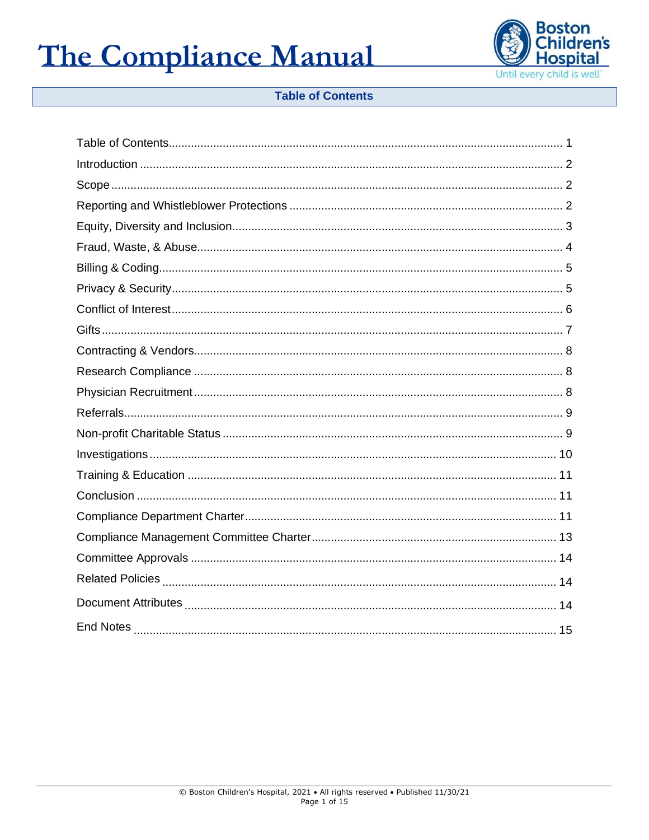

### **Table of Contents**

<span id="page-1-0"></span>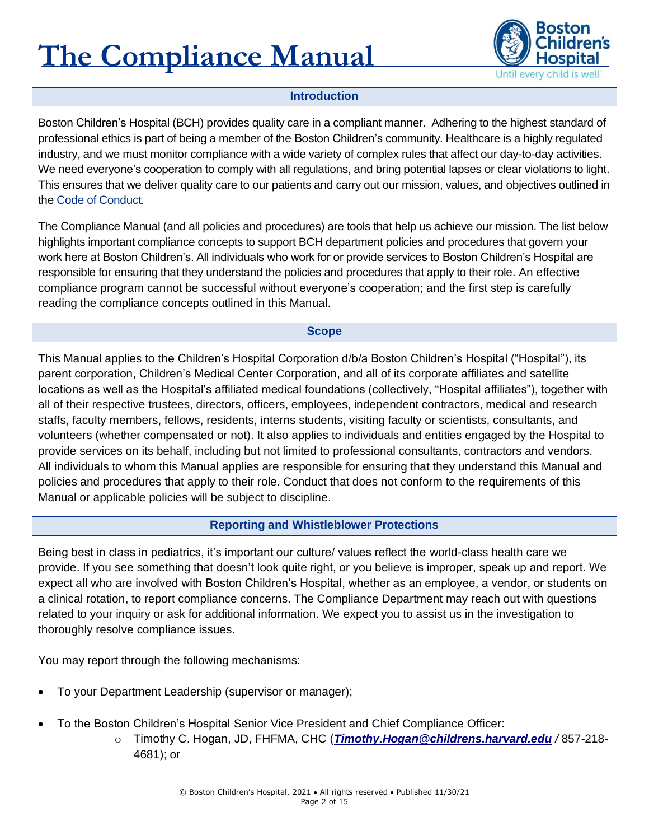

### **Introduction**

<span id="page-2-0"></span>Boston Children's Hospital (BCH) provides quality care in a compliant manner. Adhering to the highest standard of professional ethics is part of being a member of the Boston Children's community. Healthcare is a highly regulated industry, and we must monitor compliance with a wide variety of complex rules that affect our day-to-day activities. We need everyone's cooperation to comply with all regulations, and bring potential lapses or clear violations to light. This ensures that we deliver quality care to our patients and carry out our mission, values, and objectives outlined in the Code of Conduct*.* 

The Compliance Manual (and all policies and procedures) are tools that help us achieve our mission. The list below highlights important compliance concepts to support BCH department policies and procedures that govern your work here at Boston Children's. All individuals who work for or provide services to Boston Children's Hospital are responsible for ensuring that they understand the policies and procedures that apply to their role. An effective compliance program cannot be successful without everyone's cooperation; and the first step is carefully reading the compliance concepts outlined in this Manual.

#### **Scope**

<span id="page-2-1"></span>This Manual applies to the Children's Hospital Corporation d/b/a Boston Children's Hospital ("Hospital"), its parent corporation, Children's Medical Center Corporation, and all of its corporate affiliates and satellite locations as well as the Hospital's affiliated medical foundations (collectively, "Hospital affiliates"), together with all of their respective trustees, directors, officers, employees, independent contractors, medical and research staffs, faculty members, fellows, residents, interns students, visiting faculty or scientists, consultants, and volunteers (whether compensated or not). It also applies to individuals and entities engaged by the Hospital to provide services on its behalf, including but not limited to professional consultants, contractors and vendors. All individuals to whom this Manual applies are responsible for ensuring that they understand this Manual and policies and procedures that apply to their role. Conduct that does not conform to the requirements of this Manual or applicable policies will be subject to discipline.

#### **Reporting and Whistleblower Protections**

<span id="page-2-2"></span>Being best in class in pediatrics, it's important our culture/ values reflect the world-class health care we provide. If you see something that doesn't look quite right, or you believe is improper, speak up and report. We expect all who are involved with Boston Children's Hospital, whether as an employee, a vendor, or students on a clinical rotation, to report compliance concerns. The Compliance Department may reach out with questions related to your inquiry or ask for additional information. We expect you to assist us in the investigation to thoroughly resolve compliance issues.

You may report through the following mechanisms:

- To your Department Leadership (supervisor or manager);
- To the Boston Children's Hospital Senior Vice President and Chief Compliance Officer:
	- o Timothy C. Hogan, JD, FHFMA, CHC (*[Timothy.Hogan@childrens.harvard.edu](mailto:Timothy.Hogan@childrens.harvard.edu) /* 857-218- 4681); or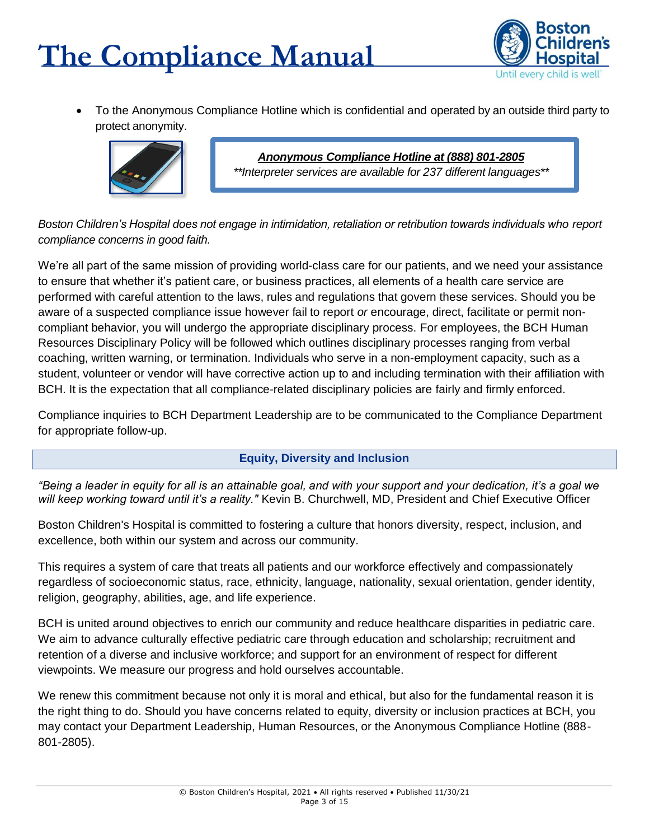

• To the Anonymous Compliance Hotline which is confidential and operated by an outside third party to protect anonymity.



*Anonymous Compliance Hotline at (888) 801-2805 \*\*Interpreter services are available for 237 different languages\*\**

*Boston Children's Hospital does not engage in intimidation, retaliation or retribution towards individuals who report compliance concerns in good faith.*

We're all part of the same mission of providing world-class care for our patients, and we need your assistance to ensure that whether it's patient care, or business practices, all elements of a health care service are performed with careful attention to the laws, rules and regulations that govern these services. Should you be aware of a suspected compliance issue however fail to report *or* encourage, direct, facilitate or permit noncompliant behavior, you will undergo the appropriate disciplinary process. For employees, the BCH Human Resources Disciplinary Policy will be followed which outlines disciplinary processes ranging from verbal coaching, written warning, or termination. Individuals who serve in a non-employment capacity, such as a student, volunteer or vendor will have corrective action up to and including termination with their affiliation with BCH. It is the expectation that all compliance-related disciplinary policies are fairly and firmly enforced.

Compliance inquiries to BCH Department Leadership are to be communicated to the Compliance Department for appropriate follow-up.

### **Equity, Diversity and Inclusion**

<span id="page-3-0"></span>*"Being a leader in equity for all is an attainable goal, and with your support and your dedication, it's a goal we will keep working toward until it's a reality."* Kevin B. Churchwell, MD, President and Chief Executive Officer

Boston Children's Hospital is committed to fostering a culture that honors diversity, respect, inclusion, and excellence, both within our system and across our community.

This requires a system of care that treats all patients and our workforce effectively and compassionately regardless of socioeconomic status, race, ethnicity, language, nationality, sexual orientation, gender identity, religion, geography, abilities, age, and life experience.

BCH is united around objectives to enrich our community and reduce healthcare disparities in pediatric care. We aim to advance culturally effective pediatric care through education and scholarship; recruitment and retention of a diverse and inclusive workforce; and support for an environment of respect for different viewpoints. We measure our progress and hold ourselves accountable.

We renew this commitment because not only it is moral and ethical, but also for the fundamental reason it is the right thing to do. Should you have concerns related to equity, diversity or inclusion practices at BCH, you may contact your Department Leadership, Human Resources, or the Anonymous Compliance Hotline (888- 801-2805).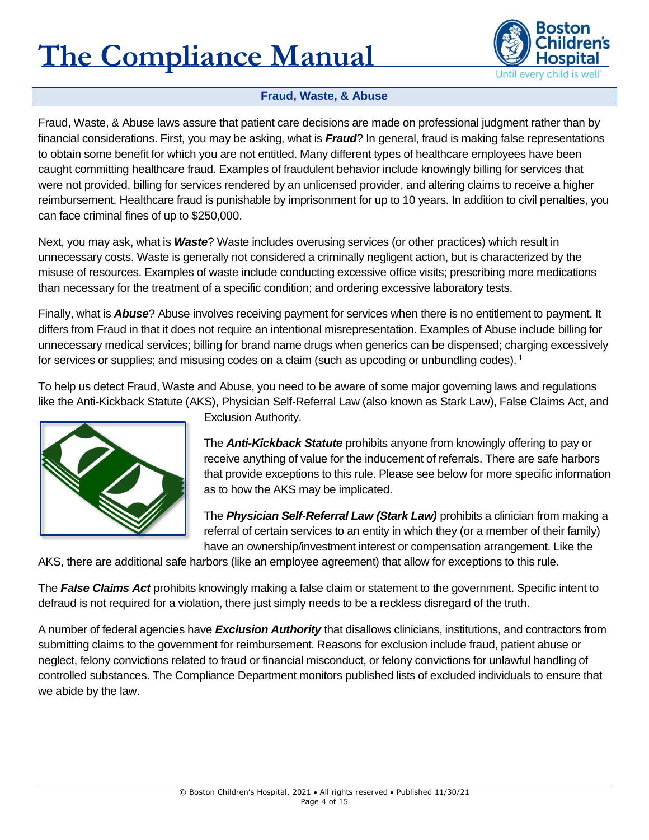

### **Fraud, Waste, & Abuse**

<span id="page-4-0"></span>Fraud, Waste, & Abuse laws assure that patient care decisions are made on professional judgment rather than by financial considerations. First, you may be asking, what is *Fraud*? In general, fraud is making false representations to obtain some benefit for which you are not entitled. Many different types of healthcare employees have been caught committing healthcare fraud. Examples of fraudulent behavior include knowingly billing for services that were not provided, billing for services rendered by an unlicensed provider, and altering claims to receive a higher reimbursement. Healthcare fraud is punishable by imprisonment for up to 10 years. In addition to civil penalties, you can face criminal fines of up to \$250,000.

Next, you may ask, what is *Waste*? Waste includes overusing services (or other practices) which result in unnecessary costs. Waste is generally not considered a criminally negligent action, but is characterized by the misuse of resources. Examples of waste include conducting excessive office visits; prescribing more medications than necessary for the treatment of a specific condition; and ordering excessive laboratory tests.

Finally, what is *Abuse*? Abuse involves receiving payment for services when there is no entitlement to payment. It differs from Fraud in that it does not require an intentional misrepresentation. Examples of Abuse include billing for unnecessary medical services; billing for brand name drugs when generics can be dispensed; charging excessively for services or supplies; and misusing codes on a claim (such as upcoding or unbundling codes). <sup>1</sup>

To help us detect Fraud, Waste and Abuse, you need to be aware of some major governing laws and regulations like the Anti-Kickback Statute (AKS), Physician Self-Referral Law (also known as Stark Law), False Claims Act, and



Exclusion Authority.

The *Anti-Kickback Statute* prohibits anyone from knowingly offering to pay or receive anything of value for the inducement of referrals. There are safe harbors that provide exceptions to this rule. Please see below for more specific information as to how the AKS may be implicated.

The *Physician Self-Referral Law (Stark Law)* prohibits a clinician from making a referral of certain services to an entity in which they (or a member of their family) have an ownership/investment interest or compensation arrangement. Like the

AKS, there are additional safe harbors (like an employee agreement) that allow for exceptions to this rule.

The *False Claims Act* prohibits knowingly making a false claim or statement to the government. Specific intent to defraud is not required for a violation, there just simply needs to be a reckless disregard of the truth.

A number of federal agencies have *Exclusion Authority* that disallows clinicians, institutions, and contractors from submitting claims to the government for reimbursement. Reasons for exclusion include fraud, patient abuse or neglect, felony convictions related to fraud or financial misconduct, or felony convictions for unlawful handling of controlled substances. The Compliance Department monitors published lists of excluded individuals to ensure that we abide by the law.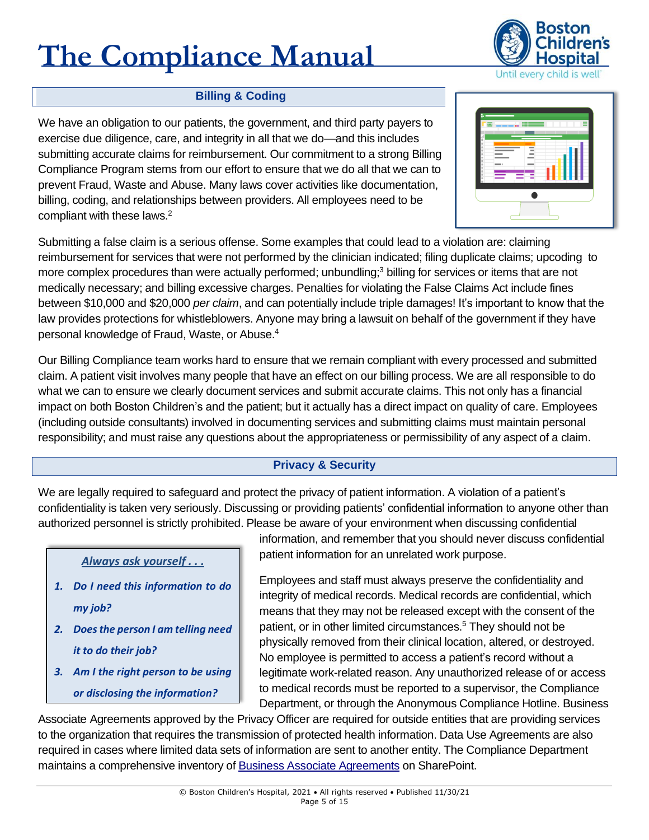

### **Billing & Coding**

<span id="page-5-0"></span>We have an obligation to our patients, the government, and third party payers to exercise due diligence, care, and integrity in all that we do—and this includes submitting accurate claims for reimbursement. Our commitment to a strong Billing Compliance Program stems from our effort to ensure that we do all that we can to prevent Fraud, Waste and Abuse. Many laws cover activities like documentation, billing, coding, and relationships between providers. All employees need to be compliant with these laws.<sup>2</sup>



Submitting a false claim is a serious offense. Some examples that could lead to a violation are: claiming reimbursement for services that were not performed by the clinician indicated; filing duplicate claims; upcoding to more complex procedures than were actually performed; unbundling;<sup>3</sup> billing for services or items that are not medically necessary; and billing excessive charges. Penalties for violating the False Claims Act include fines between \$10,000 and \$20,000 *per claim*, and can potentially include triple damages! It's important to know that the law provides protections for whistleblowers. Anyone may bring a lawsuit on behalf of the government if they have personal knowledge of Fraud, Waste, or Abuse.<sup>4</sup>

Our Billing Compliance team works hard to ensure that we remain compliant with every processed and submitted claim. A patient visit involves many people that have an effect on our billing process. We are all responsible to do what we can to ensure we clearly document services and submit accurate claims. This not only has a financial impact on both Boston Children's and the patient; but it actually has a direct impact on quality of care. Employees (including outside consultants) involved in documenting services and submitting claims must maintain personal responsibility; and must raise any questions about the appropriateness or permissibility of any aspect of a claim.

### **Privacy & Security**

<span id="page-5-1"></span>We are legally required to safeguard and protect the privacy of patient information. A violation of a patient's confidentiality is taken very seriously. Discussing or providing patients' confidential information to anyone other than authorized personnel is strictly prohibited. Please be aware of your environment when discussing confidential

*Always ask yourself . . .*

- *1. Do I need this information to do my job?*
- *2. Does the person I am telling need it to do their job?*
- *3. Am I the right person to be using or disclosing the information?*

information, and remember that you should never discuss confidential patient information for an unrelated work purpose.

Employees and staff must always preserve the confidentiality and integrity of medical records. Medical records are confidential, which means that they may not be released except with the consent of the patient, or in other limited circumstances.<sup>5</sup> They should not be physically removed from their clinical location, altered, or destroyed. No employee is permitted to access a patient's record without a legitimate work-related reason. Any unauthorized release of or access to medical records must be reported to a supervisor, the Compliance Department, or through the Anonymous Compliance Hotline. Business

Associate Agreements approved by the Privacy Officer are required for outside entities that are providing services to the organization that requires the transmission of protected health information. Data Use Agreements are also required in cases where limited data sets of information are sent to another entity. The Compliance Department maintains a comprehensive inventory of [Business Associate Agreements](http://chbshare.chboston.org/elibrary/compliance/tools/soa/Pages/welcome.aspx) on SharePoint.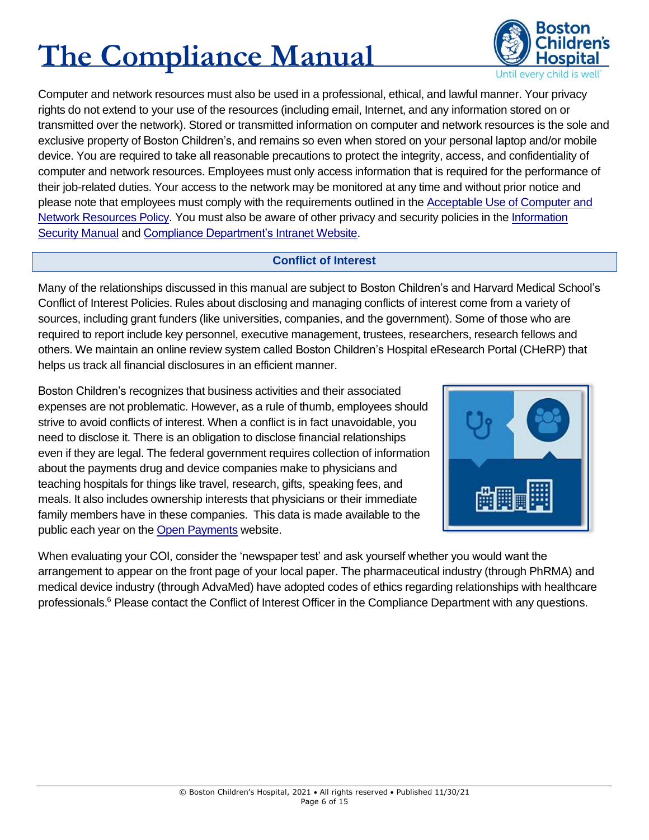

Computer and network resources must also be used in a professional, ethical, and lawful manner. Your privacy rights do not extend to your use of the resources (including email, Internet, and any information stored on or transmitted over the network). Stored or transmitted information on computer and network resources is the sole and exclusive property of Boston Children's, and remains so even when stored on your personal laptop and/or mobile device. You are required to take all reasonable precautions to protect the integrity, access, and confidentiality of computer and network resources. Employees must only access information that is required for the performance of their job-related duties. Your access to the network may be monitored at any time and without prior notice and please note that employees must comply with the requirements outlined in the [Acceptable Use of Computer and](http://chbshare.chboston.org/elibrary/isd/manuals/ispp/default.aspx)  [Network Resources Policy.](http://chbshare.chboston.org/elibrary/isd/manuals/ispp/default.aspx) You must also be aware of other privacy and security policies in the [Information](http://chbshare.chboston.org/elibrary/isd/manuals/ispp/default.aspx)  [Security Manual](http://chbshare.chboston.org/elibrary/isd/manuals/ispp/default.aspx) and [Compliance Department's Intranet](http://web2.tch.harvard.edu/compliance/index.html) Website.

### **Conflict of Interest**

<span id="page-6-0"></span>Many of the relationships discussed in this manual are subject to Boston Children's and Harvard Medical School's Conflict of Interest Policies. Rules about disclosing and managing conflicts of interest come from a variety of sources, including grant funders (like universities, companies, and the government). Some of those who are required to report include key personnel, executive management, trustees, researchers, research fellows and others. We maintain an online review system called Boston Children's Hospital eResearch Portal (CHeRP) that helps us track all financial disclosures in an efficient manner.

Boston Children's recognizes that business activities and their associated expenses are not problematic. However, as a rule of thumb, employees should strive to avoid conflicts of interest. When a conflict is in fact unavoidable, you need to disclose it. There is an obligation to disclose financial relationships even if they are legal. The federal government requires collection of information about the payments drug and device companies make to physicians and teaching hospitals for things like travel, research, gifts, speaking fees, and meals. It also includes ownership interests that physicians or their immediate family members have in these companies. This data is made available to the public each year on the [Open Payments](https://openpaymentsdata.cms.gov/search/physicians) website.



When evaluating your COI, consider the 'newspaper test' and ask yourself whether you would want the arrangement to appear on the front page of your local paper. The pharmaceutical industry (through PhRMA) and medical device industry (through AdvaMed) have adopted codes of ethics regarding relationships with healthcare professionals.<sup>6</sup> Please contact the Conflict of Interest Officer in the Compliance Department with any questions.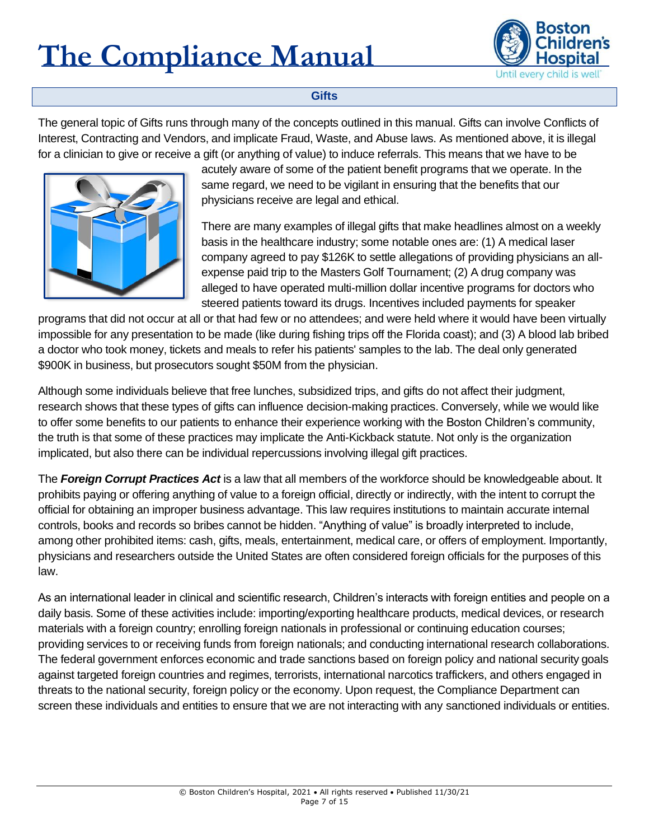

### **Gifts**

<span id="page-7-0"></span>The general topic of Gifts runs through many of the concepts outlined in this manual. Gifts can involve Conflicts of Interest, Contracting and Vendors, and implicate Fraud, Waste, and Abuse laws. As mentioned above, it is illegal for a clinician to give or receive a gift (or anything of value) to induce referrals. This means that we have to be



acutely aware of some of the patient benefit programs that we operate. In the same regard, we need to be vigilant in ensuring that the benefits that our physicians receive are legal and ethical.

There are many examples of illegal gifts that make headlines almost on a weekly basis in the healthcare industry; some notable ones are: (1) A medical laser company agreed to pay \$126K to settle allegations of providing physicians an allexpense paid trip to the Masters Golf Tournament; (2) A drug company was alleged to have operated multi-million dollar incentive programs for doctors who steered patients toward its drugs. Incentives included payments for speaker

programs that did not occur at all or that had few or no attendees; and were held where it would have been virtually impossible for any presentation to be made (like during fishing trips off the Florida coast); and (3) A blood lab bribed a doctor who took money, tickets and meals to refer his patients' samples to the lab. The deal only generated \$900K in business, but prosecutors sought \$50M from the physician.

Although some individuals believe that free lunches, subsidized trips, and gifts do not affect their judgment, research shows that these types of gifts can influence decision-making practices. Conversely, while we would like to offer some benefits to our patients to enhance their experience working with the Boston Children's community, the truth is that some of these practices may implicate the Anti-Kickback statute. Not only is the organization implicated, but also there can be individual repercussions involving illegal gift practices.

The *Foreign Corrupt Practices Act* is a law that all members of the workforce should be knowledgeable about. It prohibits paying or offering anything of value to a foreign official, directly or indirectly, with the intent to corrupt the official for obtaining an improper business advantage. This law requires institutions to maintain accurate internal controls, books and records so bribes cannot be hidden. "Anything of value" is broadly interpreted to include, among other prohibited items: cash, gifts, meals, entertainment, medical care, or offers of employment. Importantly, physicians and researchers outside the United States are often considered foreign officials for the purposes of this law.

As an international leader in clinical and scientific research, Children's interacts with foreign entities and people on a daily basis. Some of these activities include: importing/exporting healthcare products, medical devices, or research materials with a foreign country; enrolling foreign nationals in professional or continuing education courses; providing services to or receiving funds from foreign nationals; and conducting international research collaborations. The federal government enforces economic and trade sanctions based on foreign policy and national security goals against targeted foreign countries and regimes, terrorists, international narcotics traffickers, and others engaged in threats to the national security, foreign policy or the economy. Upon request, the Compliance Department can screen these individuals and entities to ensure that we are not interacting with any sanctioned individuals or entities.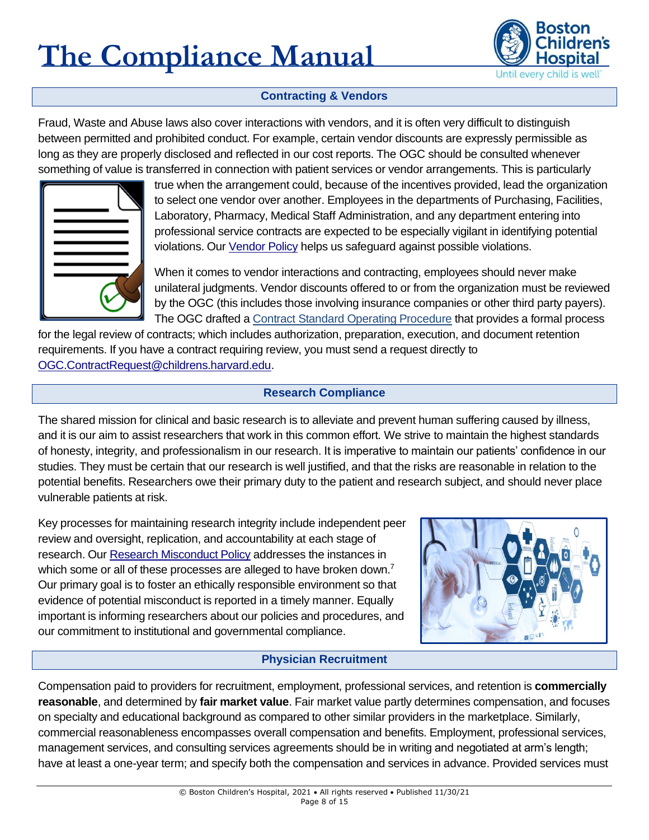

### **Contracting & Vendors**

<span id="page-8-0"></span>Fraud, Waste and Abuse laws also cover interactions with vendors, and it is often very difficult to distinguish between permitted and prohibited conduct. For example, certain vendor discounts are expressly permissible as long as they are properly disclosed and reflected in our cost reports. The OGC should be consulted whenever something of value is transferred in connection with patient services or vendor arrangements. This is particularly



true when the arrangement could, because of the incentives provided, lead the organization to select one vendor over another. Employees in the departments of Purchasing, Facilities, Laboratory, Pharmacy, Medical Staff Administration, and any department entering into professional service contracts are expected to be especially vigilant in identifying potential violations. Our [Vendor Policy](http://www.childrenshospital.org/-/media/About-Us/Contractors-and-Vendors/childrens-hospital-new-vendor-policy.ashx?la=en&hash=0B8BA4BCC4DFE7809224F5A7836FA21A45A04721) helps us safeguard against possible violations.

When it comes to vendor interactions and contracting, employees should never make unilateral judgments. Vendor discounts offered to or from the organization must be reviewed by the OGC (this includes those involving insurance companies or other third party payers). The OGC drafted a Contract [Standard Operating Procedure](http://web2.tch.harvard.edu/generalcounsel/mainpageS2842P22.html) that provides a formal process

for the legal review of contracts; which includes authorization, preparation, execution, and document retention requirements. If you have a contract requiring review, you must send a request directly to [OGC.ContractRequest@childrens.harvard.edu.](mailto:OGC.ContractRequest@childrens.harvard.edu)

#### **Research Compliance**

<span id="page-8-1"></span>The shared mission for clinical and basic research is to alleviate and prevent human suffering caused by illness, and it is our aim to assist researchers that work in this common effort. We strive to maintain the highest standards of honesty, integrity, and professionalism in our research. It is imperative to maintain our patients' confidence in our studies. They must be certain that our research is well justified, and that the risks are reasonable in relation to the potential benefits. Researchers owe their primary duty to the patient and research subject, and should never place vulnerable patients at risk.

Key processes for maintaining research integrity include independent peer review and oversight, replication, and accountability at each stage of research. Our [Research Misconduct Policy](http://chbshare.chboston.org/elibrary/resadmin/manuals/rsrchpp/default.aspx) addresses the instances in which some or all of these processes are alleged to have broken down.<sup>7</sup> Our primary goal is to foster an ethically responsible environment so that evidence of potential misconduct is reported in a timely manner. Equally important is informing researchers about our policies and procedures, and our commitment to institutional and governmental compliance.



### **Physician Recruitment**

<span id="page-8-2"></span>Compensation paid to providers for recruitment, employment, professional services, and retention is **commercially reasonable**, and determined by **fair market value**. Fair market value partly determines compensation, and focuses on specialty and educational background as compared to other similar providers in the marketplace. Similarly, commercial reasonableness encompasses overall compensation and benefits. Employment, professional services, management services, and consulting services agreements should be in writing and negotiated at arm's length; have at least a one-year term; and specify both the compensation and services in advance. Provided services must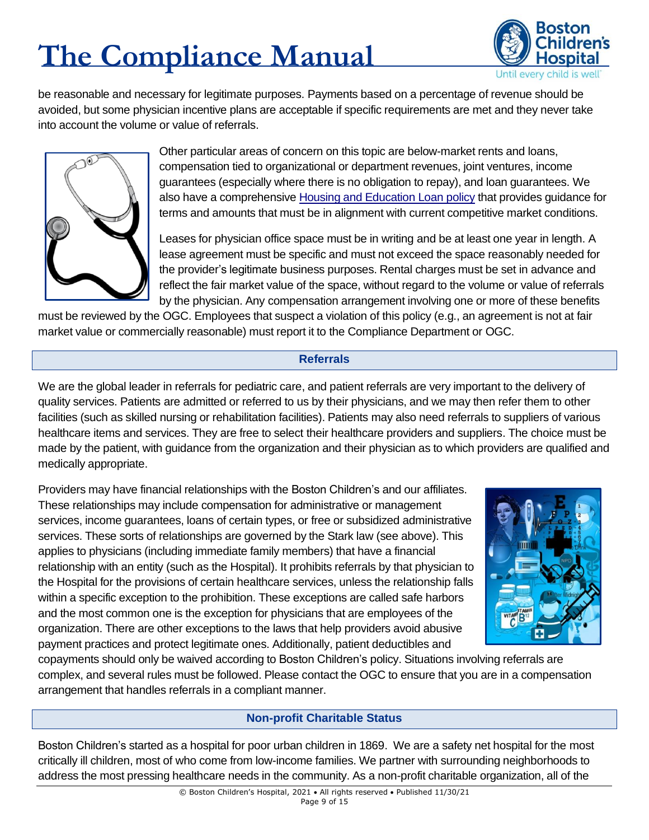

be reasonable and necessary for legitimate purposes. Payments based on a percentage of revenue should be avoided, but some physician incentive plans are acceptable if specific requirements are met and they never take into account the volume or value of referrals.



Other particular areas of concern on this topic are below-market rents and loans, compensation tied to organizational or department revenues, joint ventures, income guarantees (especially where there is no obligation to repay), and loan guarantees. We also have a comprehensive [Housing and Education](http://web2.tch.harvard.edu/generalcounsel/Documents/Housing_and_Educational_Loan_Policy_9-1-2016.pdf) Loan policy that provides guidance for terms and amounts that must be in alignment with current competitive market conditions.

Leases for physician office space must be in writing and be at least one year in length. A lease agreement must be specific and must not exceed the space reasonably needed for the provider's legitimate business purposes. Rental charges must be set in advance and reflect the fair market value of the space, without regard to the volume or value of referrals by the physician. Any compensation arrangement involving one or more of these benefits

must be reviewed by the OGC. Employees that suspect a violation of this policy (e.g., an agreement is not at fair market value or commercially reasonable) must report it to the Compliance Department or OGC.

### **Referrals**

<span id="page-9-0"></span>We are the global leader in referrals for pediatric care, and patient referrals are very important to the delivery of quality services. Patients are admitted or referred to us by their physicians, and we may then refer them to other facilities (such as skilled nursing or rehabilitation facilities). Patients may also need referrals to suppliers of various healthcare items and services. They are free to select their healthcare providers and suppliers. The choice must be made by the patient, with guidance from the organization and their physician as to which providers are qualified and medically appropriate.

Providers may have financial relationships with the Boston Children's and our affiliates. These relationships may include compensation for administrative or management services, income guarantees, loans of certain types, or free or subsidized administrative services. These sorts of relationships are governed by the Stark law (see above). This applies to physicians (including immediate family members) that have a financial relationship with an entity (such as the Hospital). It prohibits referrals by that physician to the Hospital for the provisions of certain healthcare services, unless the relationship falls within a specific exception to the prohibition. These exceptions are called safe harbors and the most common one is the exception for physicians that are employees of the organization. There are other exceptions to the laws that help providers avoid abusive payment practices and protect legitimate ones. Additionally, patient deductibles and



copayments should only be waived according to Boston Children's policy. Situations involving referrals are complex, and several rules must be followed. Please contact the OGC to ensure that you are in a compensation arrangement that handles referrals in a compliant manner.

### **Non-profit Charitable Status**

<span id="page-9-1"></span>Boston Children's started as a hospital for poor urban children in 1869. We are a safety net hospital for the most critically ill children, most of who come from low-income families. We partner with surrounding neighborhoods to address the most pressing healthcare needs in the community. As a non-profit charitable organization, all of the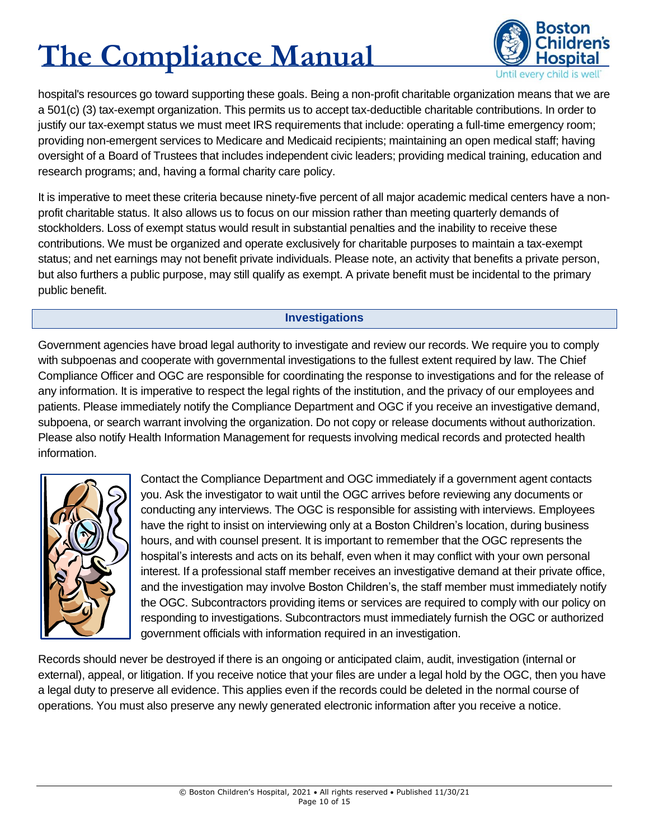

hospital's resources go toward supporting these goals. Being a non-profit charitable organization means that we are a 501(c) (3) tax-exempt organization. This permits us to accept tax-deductible charitable contributions. In order to justify our tax-exempt status we must meet IRS requirements that include: operating a full-time emergency room; providing non-emergent services to Medicare and Medicaid recipients; maintaining an open medical staff; having oversight of a Board of Trustees that includes independent civic leaders; providing medical training, education and research programs; and, having a formal charity care policy.

It is imperative to meet these criteria because ninety-five percent of all major academic medical centers have a nonprofit charitable status. It also allows us to focus on our mission rather than meeting quarterly demands of stockholders. Loss of exempt status would result in substantial penalties and the inability to receive these contributions. We must be organized and operate exclusively for charitable purposes to maintain a tax-exempt status; and net earnings may not benefit private individuals. Please note, an activity that benefits a private person, but also furthers a public purpose, may still qualify as exempt. A private benefit must be incidental to the primary public benefit.

### **Investigations**

<span id="page-10-0"></span>Government agencies have broad legal authority to investigate and review our records. We require you to comply with subpoenas and cooperate with governmental investigations to the fullest extent required by law. The Chief Compliance Officer and OGC are responsible for coordinating the response to investigations and for the release of any information. It is imperative to respect the legal rights of the institution, and the privacy of our employees and patients. Please immediately notify the Compliance Department and OGC if you receive an investigative demand, subpoena, or search warrant involving the organization. Do not copy or release documents without authorization. Please also notify Health Information Management for requests involving medical records and protected health information.



Contact the Compliance Department and OGC immediately if a government agent contacts you. Ask the investigator to wait until the OGC arrives before reviewing any documents or conducting any interviews. The OGC is responsible for assisting with interviews. Employees have the right to insist on interviewing only at a Boston Children's location, during business hours, and with counsel present. It is important to remember that the OGC represents the hospital's interests and acts on its behalf, even when it may conflict with your own personal interest. If a professional staff member receives an investigative demand at their private office, and the investigation may involve Boston Children's, the staff member must immediately notify the OGC. Subcontractors providing items or services are required to comply with our policy on responding to investigations. Subcontractors must immediately furnish the OGC or authorized government officials with information required in an investigation.

Records should never be destroyed if there is an ongoing or anticipated claim, audit, investigation (internal or external), appeal, or litigation. If you receive notice that your files are under a legal hold by the OGC, then you have a legal duty to preserve all evidence. This applies even if the records could be deleted in the normal course of operations. You must also preserve any newly generated electronic information after you receive a notice.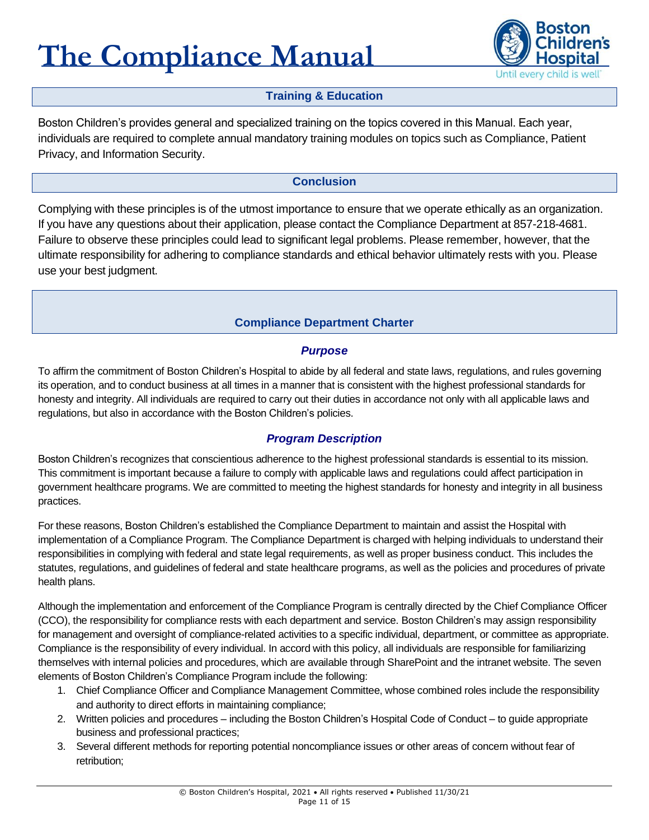

### **Training & Education**

<span id="page-11-0"></span>Boston Children's provides general and specialized training on the topics covered in this Manual. Each year, individuals are required to complete annual mandatory training modules on topics such as Compliance, Patient Privacy, and Information Security.

### **Conclusion**

<span id="page-11-1"></span>Complying with these principles is of the utmost importance to ensure that we operate ethically as an organization. If you have any questions about their application, please contact the Compliance Department at 857-218-4681. Failure to observe these principles could lead to significant legal problems. Please remember, however, that the ultimate responsibility for adhering to compliance standards and ethical behavior ultimately rests with you. Please use your best judgment.

### **Compliance Department Charter**

### *Purpose*

<span id="page-11-2"></span>To affirm the commitment of Boston Children's Hospital to abide by all federal and state laws, regulations, and rules governing its operation, and to conduct business at all times in a manner that is consistent with the highest professional standards for honesty and integrity. All individuals are required to carry out their duties in accordance not only with all applicable laws and regulations, but also in accordance with the Boston Children's policies.

### *Program Description*

Boston Children's recognizes that conscientious adherence to the highest professional standards is essential to its mission. This commitment is important because a failure to comply with applicable laws and regulations could affect participation in government healthcare programs. We are committed to meeting the highest standards for honesty and integrity in all business practices.

For these reasons, Boston Children's established the Compliance Department to maintain and assist the Hospital with implementation of a Compliance Program. The Compliance Department is charged with helping individuals to understand their responsibilities in complying with federal and state legal requirements, as well as proper business conduct. This includes the statutes, regulations, and guidelines of federal and state healthcare programs, as well as the policies and procedures of private health plans.

Although the implementation and enforcement of the Compliance Program is centrally directed by the Chief Compliance Officer (CCO), the responsibility for compliance rests with each department and service. Boston Children's may assign responsibility for management and oversight of compliance-related activities to a specific individual, department, or committee as appropriate. Compliance is the responsibility of every individual. In accord with this policy, all individuals are responsible for familiarizing themselves with internal policies and procedures, which are available through SharePoint and the intranet website. The seven elements of Boston Children's Compliance Program include the following:

- 1. Chief Compliance Officer and Compliance Management Committee, whose combined roles include the responsibility and authority to direct efforts in maintaining compliance;
- 2. Written policies and procedures including the Boston Children's Hospital Code of Conduct to guide appropriate business and professional practices;
- 3. Several different methods for reporting potential noncompliance issues or other areas of concern without fear of retribution;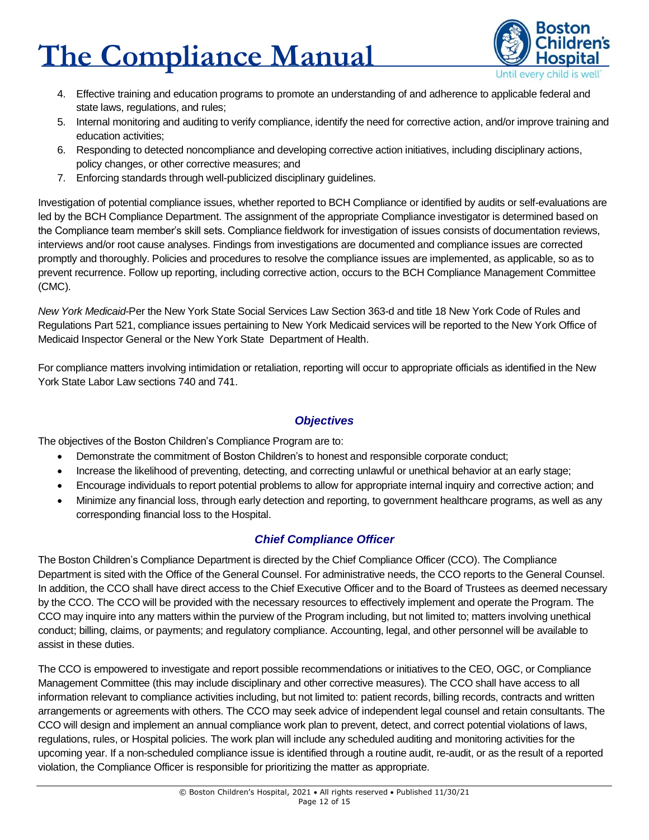

- 4. Effective training and education programs to promote an understanding of and adherence to applicable federal and state laws, regulations, and rules;
- 5. Internal monitoring and auditing to verify compliance, identify the need for corrective action, and/or improve training and education activities;
- 6. Responding to detected noncompliance and developing corrective action initiatives, including disciplinary actions, policy changes, or other corrective measures; and
- 7. Enforcing standards through well-publicized disciplinary guidelines.

Investigation of potential compliance issues, whether reported to BCH Compliance or identified by audits or self-evaluations are led by the BCH Compliance Department. The assignment of the appropriate Compliance investigator is determined based on the Compliance team member's skill sets. Compliance fieldwork for investigation of issues consists of documentation reviews, interviews and/or root cause analyses. Findings from investigations are documented and compliance issues are corrected promptly and thoroughly. Policies and procedures to resolve the compliance issues are implemented, as applicable, so as to prevent recurrence. Follow up reporting, including corrective action, occurs to the BCH Compliance Management Committee (CMC).

*New York Medicaid*-Per the New York State Social Services Law Section 363-d and title 18 New York Code of Rules and Regulations Part 521, compliance issues pertaining to New York Medicaid services will be reported to the New York Office of Medicaid Inspector General or the New York State Department of Health.

For compliance matters involving intimidation or retaliation, reporting will occur to appropriate officials as identified in the New York State Labor Law sections 740 and 741.

#### *Objectives*

The objectives of the Boston Children's Compliance Program are to:

- Demonstrate the commitment of Boston Children's to honest and responsible corporate conduct;
- Increase the likelihood of preventing, detecting, and correcting unlawful or unethical behavior at an early stage;
- Encourage individuals to report potential problems to allow for appropriate internal inquiry and corrective action; and
- Minimize any financial loss, through early detection and reporting, to government healthcare programs, as well as any corresponding financial loss to the Hospital.

#### *Chief Compliance Officer*

The Boston Children's Compliance Department is directed by the Chief Compliance Officer (CCO). The Compliance Department is sited with the Office of the General Counsel. For administrative needs, the CCO reports to the General Counsel. In addition, the CCO shall have direct access to the Chief Executive Officer and to the Board of Trustees as deemed necessary by the CCO. The CCO will be provided with the necessary resources to effectively implement and operate the Program. The CCO may inquire into any matters within the purview of the Program including, but not limited to; matters involving unethical conduct; billing, claims, or payments; and regulatory compliance. Accounting, legal, and other personnel will be available to assist in these duties.

The CCO is empowered to investigate and report possible recommendations or initiatives to the CEO, OGC, or Compliance Management Committee (this may include disciplinary and other corrective measures). The CCO shall have access to all information relevant to compliance activities including, but not limited to: patient records, billing records, contracts and written arrangements or agreements with others. The CCO may seek advice of independent legal counsel and retain consultants. The CCO will design and implement an annual compliance work plan to prevent, detect, and correct potential violations of laws, regulations, rules, or Hospital policies. The work plan will include any scheduled auditing and monitoring activities for the upcoming year. If a non-scheduled compliance issue is identified through a routine audit, re-audit, or as the result of a reported violation, the Compliance Officer is responsible for prioritizing the matter as appropriate.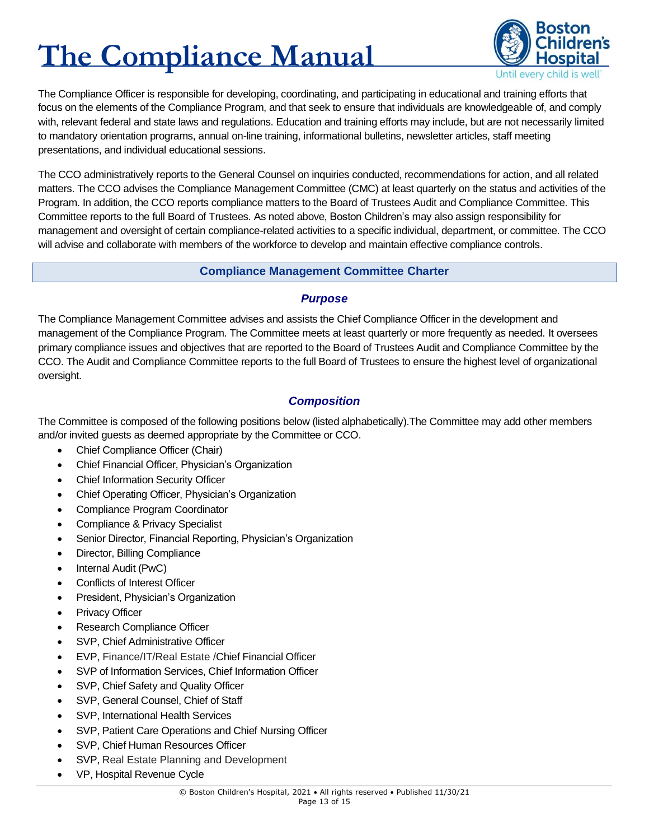

The Compliance Officer is responsible for developing, coordinating, and participating in educational and training efforts that focus on the elements of the Compliance Program, and that seek to ensure that individuals are knowledgeable of, and comply with, relevant federal and state laws and regulations. Education and training efforts may include, but are not necessarily limited to mandatory orientation programs, annual on-line training, informational bulletins, newsletter articles, staff meeting presentations, and individual educational sessions.

The CCO administratively reports to the General Counsel on inquiries conducted, recommendations for action, and all related matters. The CCO advises the Compliance Management Committee (CMC) at least quarterly on the status and activities of the Program. In addition, the CCO reports compliance matters to the Board of Trustees Audit and Compliance Committee. This Committee reports to the full Board of Trustees. As noted above, Boston Children's may also assign responsibility for management and oversight of certain compliance-related activities to a specific individual, department, or committee. The CCO will advise and collaborate with members of the workforce to develop and maintain effective compliance controls.

#### **Compliance Management Committee Charter**

#### *Purpose*

<span id="page-13-0"></span>The Compliance Management Committee advises and assists the Chief Compliance Officer in the development and management of the Compliance Program. The Committee meets at least quarterly or more frequently as needed. It oversees primary compliance issues and objectives that are reported to the Board of Trustees Audit and Compliance Committee by the CCO. The Audit and Compliance Committee reports to the full Board of Trustees to ensure the highest level of organizational oversight.

### *Composition*

The Committee is composed of the following positions below (listed alphabetically).The Committee may add other members and/or invited guests as deemed appropriate by the Committee or CCO.

- Chief Compliance Officer (Chair)
- Chief Financial Officer, Physician's Organization
- Chief Information Security Officer
- Chief Operating Officer, Physician's Organization
- Compliance Program Coordinator
- Compliance & Privacy Specialist
- Senior Director, Financial Reporting, Physician's Organization
- Director, Billing Compliance
- Internal Audit (PwC)
- Conflicts of Interest Officer
- President, Physician's Organization
- Privacy Officer
- Research Compliance Officer
- SVP, Chief Administrative Officer
- EVP, Finance/IT/Real Estate /Chief Financial Officer
- SVP of Information Services, Chief Information Officer
- SVP, Chief Safety and Quality Officer
- SVP, General Counsel, Chief of Staff
- SVP, International Health Services
- SVP, Patient Care Operations and Chief Nursing Officer
- SVP, Chief Human Resources Officer
- SVP, Real Estate Planning and Development
- VP, Hospital Revenue Cycle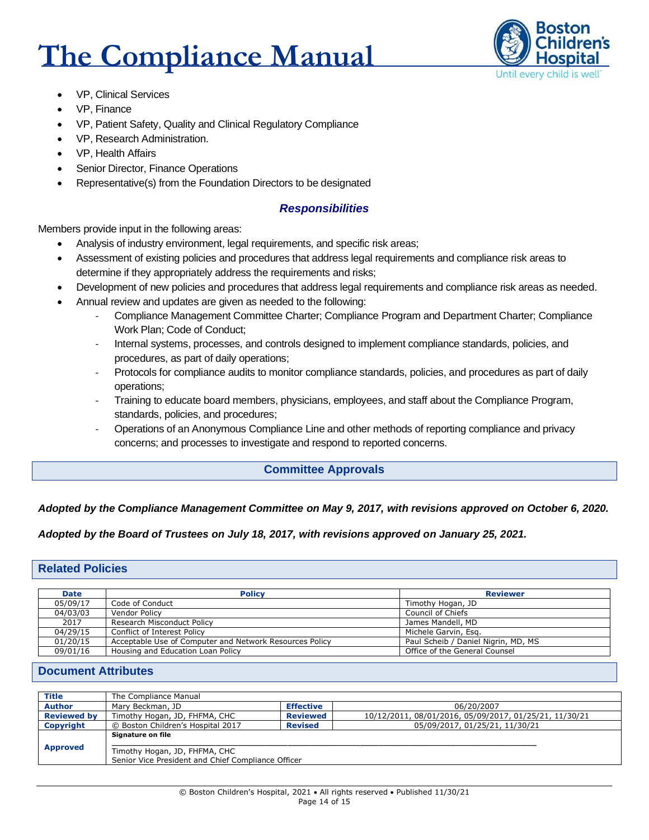

- VP, Clinical Services
- VP, Finance
- VP, Patient Safety, Quality and Clinical Regulatory Compliance
- VP, Research Administration.
- VP, Health Affairs
- Senior Director, Finance Operations
- Representative(s) from the Foundation Directors to be designated

#### *Responsibilities*

Members provide input in the following areas:

- Analysis of industry environment, legal requirements, and specific risk areas;
- Assessment of existing policies and procedures that address legal requirements and compliance risk areas to determine if they appropriately address the requirements and risks;
- Development of new policies and procedures that address legal requirements and compliance risk areas as needed.
- Annual review and updates are given as needed to the following:
	- Compliance Management Committee Charter; Compliance Program and Department Charter; Compliance Work Plan; Code of Conduct;
	- Internal systems, processes, and controls designed to implement compliance standards, policies, and procedures, as part of daily operations;
	- Protocols for compliance audits to monitor compliance standards, policies, and procedures as part of daily operations;
	- Training to educate board members, physicians, employees, and staff about the Compliance Program, standards, policies, and procedures;
	- Operations of an Anonymous Compliance Line and other methods of reporting compliance and privacy concerns; and processes to investigate and respond to reported concerns.

#### **Committee Approvals**

#### <span id="page-14-0"></span>*Adopted by the Compliance Management Committee on May 9, 2017, with revisions approved on October 6, 2020.*

*Adopted by the Board of Trustees on July 18, 2017, with revisions approved on January 25, 2021.*

#### <span id="page-14-1"></span>**Related Policies**

| <b>Date</b> | <b>Policy</b>                                           | <b>Reviewer</b>                     |
|-------------|---------------------------------------------------------|-------------------------------------|
| 05/09/17    | Code of Conduct                                         | Timothy Hogan, JD                   |
| 04/03/03    | Vendor Policy                                           | Council of Chiefs                   |
| 2017        | Research Misconduct Policy                              | James Mandell, MD                   |
| 04/29/15    | Conflict of Interest Policy                             | Michele Garvin, Esg.                |
| 01/20/15    | Acceptable Use of Computer and Network Resources Policy | Paul Scheib / Daniel Nigrin, MD, MS |
| 09/01/16    | Housing and Education Loan Policy                       | Office of the General Counsel       |

#### <span id="page-14-2"></span>**Document Attributes**

| <b>Title</b>       | The Compliance Manual                                                               |                  |                                                        |
|--------------------|-------------------------------------------------------------------------------------|------------------|--------------------------------------------------------|
| <b>Author</b>      | Mary Beckman, JD                                                                    | <b>Effective</b> | 06/20/2007                                             |
| <b>Reviewed by</b> | Timothy Hogan, JD, FHFMA, CHC                                                       | <b>Reviewed</b>  | 10/12/2011, 08/01/2016, 05/09/2017, 01/25/21, 11/30/21 |
| Copyright          | © Boston Children's Hospital 2017                                                   | <b>Revised</b>   | 05/09/2017, 01/25/21, 11/30/21                         |
|                    | Signature on file                                                                   |                  |                                                        |
| <b>Approved</b>    | Timothy Hogan, JD, FHFMA, CHC<br>Senior Vice President and Chief Compliance Officer |                  |                                                        |